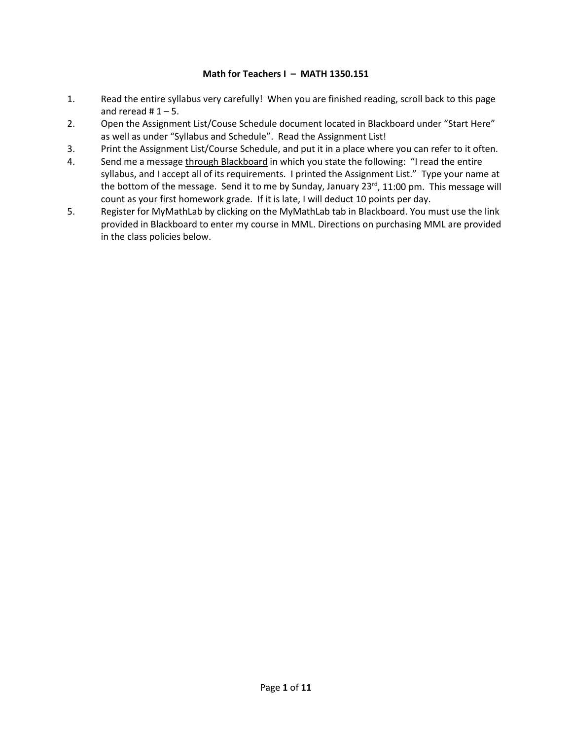#### **Math for Teachers I – MATH 1350.151**

- 1. Read the entire syllabus very carefully! When you are finished reading, scroll back to this page and reread  $# 1 - 5$ .
- 2. Open the Assignment List/Couse Schedule document located in Blackboard under "Start Here" as well as under "Syllabus and Schedule". Read the Assignment List!
- 3. Print the Assignment List/Course Schedule, and put it in a place where you can refer to it often.
- 4. Send me a message through Blackboard in which you state the following: "I read the entire syllabus, and I accept all of its requirements. I printed the Assignment List." Type your name at the bottom of the message. Send it to me by Sunday, January 23<sup>rd</sup>, 11:00 pm. This message will count as your first homework grade. If it is late, I will deduct 10 points per day.
- 5. Register for MyMathLab by clicking on the MyMathLab tab in Blackboard. You must use the link provided in Blackboard to enter my course in MML. Directions on purchasing MML are provided in the class policies below.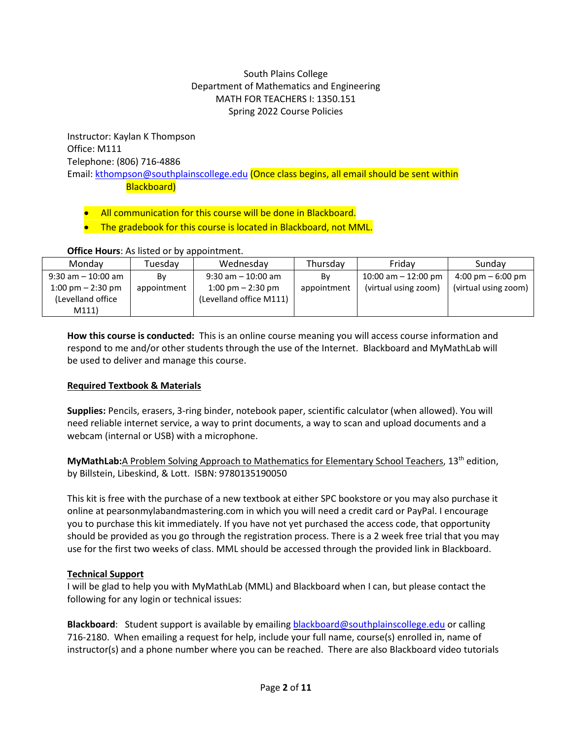# South Plains College Department of Mathematics and Engineering MATH FOR TEACHERS I: 1350.151 Spring 2022 Course Policies

Instructor: Kaylan K Thompson Office: M111 Telephone: (806) 716-4886 Email: [kthompson@southplainscollege.edu](mailto:kthompson@southplainscollege.edu) (Once class begins, all email should be sent within Blackboard)

• All communication for this course will be done in Blackboard.

The gradebook for this course is located in Blackboard, not MML.

| <b>OTTLE HOURS.</b> AS ISTED OF DY ADDOITED THE |             |                                     |             |                        |                                     |  |  |
|-------------------------------------------------|-------------|-------------------------------------|-------------|------------------------|-------------------------------------|--|--|
| Mondav                                          | Tuesday     | Wednesday                           | Thursday    | Fridav                 | Sundav                              |  |  |
| 9:30 am – 10:00 am                              | Bv          | $9:30$ am $-10:00$ am               | Bv          | $10:00$ am $-12:00$ pm | $4:00 \text{ pm} - 6:00 \text{ pm}$ |  |  |
| $1:00 \text{ pm} - 2:30 \text{ pm}$             | appointment | $1:00 \text{ pm} - 2:30 \text{ pm}$ | appointment | (virtual using zoom)   | (virtual using zoom)                |  |  |
| (Levelland office)                              |             | (Levelland office M111)             |             |                        |                                     |  |  |
| M111)                                           |             |                                     |             |                        |                                     |  |  |

#### **Office Hours**: As listed or by appointment.

**How this course is conducted:** This is an online course meaning you will access course information and respond to me and/or other students through the use of the Internet. Blackboard and MyMathLab will be used to deliver and manage this course.

# **Required Textbook & Materials**

**Supplies:** Pencils, erasers, 3-ring binder, notebook paper, scientific calculator (when allowed). You will need reliable internet service, a way to print documents, a way to scan and upload documents and a webcam (internal or USB) with a microphone.

**MyMathLab:**A Problem Solving Approach to Mathematics for Elementary School Teachers, 13th edition, by Billstein, Libeskind, & Lott. ISBN: 9780135190050

This kit is free with the purchase of a new textbook at either SPC bookstore or you may also purchase it online at pearsonmylabandmastering.com in which you will need a credit card or PayPal. I encourage you to purchase this kit immediately. If you have not yet purchased the access code, that opportunity should be provided as you go through the registration process. There is a 2 week free trial that you may use for the first two weeks of class. MML should be accessed through the provided link in Blackboard.

# **Technical Support**

I will be glad to help you with MyMathLab (MML) and Blackboard when I can, but please contact the following for any login or technical issues:

**Blackboard**: Student support is available by emailing [blackboard@southplainscollege.edu](mailto:blackboard@southplainscollege.edu) or calling 716-2180. When emailing a request for help, include your full name, course(s) enrolled in, name of instructor(s) and a phone number where you can be reached. There are also Blackboard video tutorials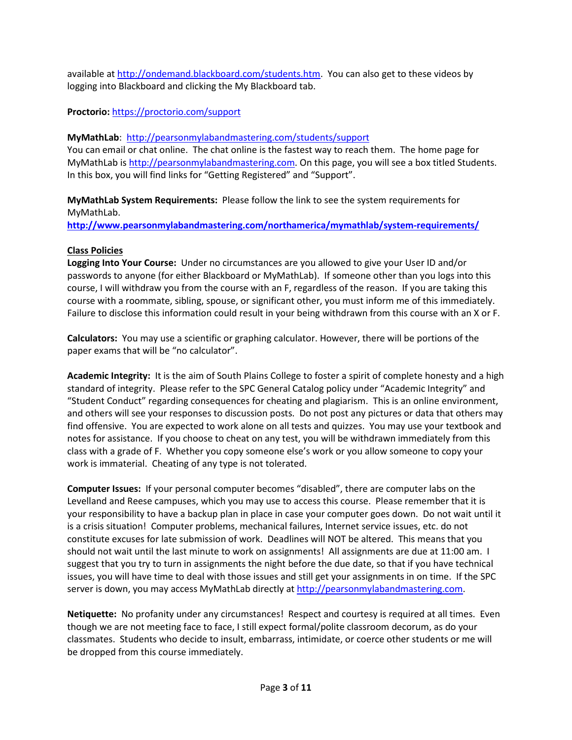available a[t http://ondemand.blackboard.com/students.htm.](http://ondemand.blackboard.com/students.htm) You can also get to these videos by logging into Blackboard and clicking the My Blackboard tab.

# **Proctorio:** <https://proctorio.com/support>

### **MyMathLab**:<http://pearsonmylabandmastering.com/students/support>

You can email or chat online. The chat online is the fastest way to reach them. The home page for MyMathLab is [http://pearsonmylabandmastering.com.](http://pearsonmylabandmastering.com/) On this page, you will see a box titled Students. In this box, you will find links for "Getting Registered" and "Support".

**MyMathLab System Requirements:** Please follow the link to see the system requirements for MyMathLab.

**<http://www.pearsonmylabandmastering.com/northamerica/mymathlab/system-requirements/>**

#### **Class Policies**

**Logging Into Your Course:** Under no circumstances are you allowed to give your User ID and/or passwords to anyone (for either Blackboard or MyMathLab). If someone other than you logs into this course, I will withdraw you from the course with an F, regardless of the reason. If you are taking this course with a roommate, sibling, spouse, or significant other, you must inform me of this immediately. Failure to disclose this information could result in your being withdrawn from this course with an X or F.

**Calculators:** You may use a scientific or graphing calculator. However, there will be portions of the paper exams that will be "no calculator".

**Academic Integrity:** It is the aim of South Plains College to foster a spirit of complete honesty and a high standard of integrity. Please refer to the SPC General Catalog policy under "Academic Integrity" and "Student Conduct" regarding consequences for cheating and plagiarism. This is an online environment, and others will see your responses to discussion posts. Do not post any pictures or data that others may find offensive. You are expected to work alone on all tests and quizzes. You may use your textbook and notes for assistance. If you choose to cheat on any test, you will be withdrawn immediately from this class with a grade of F. Whether you copy someone else's work or you allow someone to copy your work is immaterial. Cheating of any type is not tolerated.

**Computer Issues:** If your personal computer becomes "disabled", there are computer labs on the Levelland and Reese campuses, which you may use to access this course. Please remember that it is your responsibility to have a backup plan in place in case your computer goes down. Do not wait until it is a crisis situation! Computer problems, mechanical failures, Internet service issues, etc. do not constitute excuses for late submission of work. Deadlines will NOT be altered. This means that you should not wait until the last minute to work on assignments! All assignments are due at 11:00 am. I suggest that you try to turn in assignments the night before the due date, so that if you have technical issues, you will have time to deal with those issues and still get your assignments in on time. If the SPC server is down, you may access MyMathLab directly at [http://pearsonmylabandmastering.com.](http://pearsonmylabandmastering.com/)

**Netiquette:** No profanity under any circumstances! Respect and courtesy is required at all times. Even though we are not meeting face to face, I still expect formal/polite classroom decorum, as do your classmates. Students who decide to insult, embarrass, intimidate, or coerce other students or me will be dropped from this course immediately.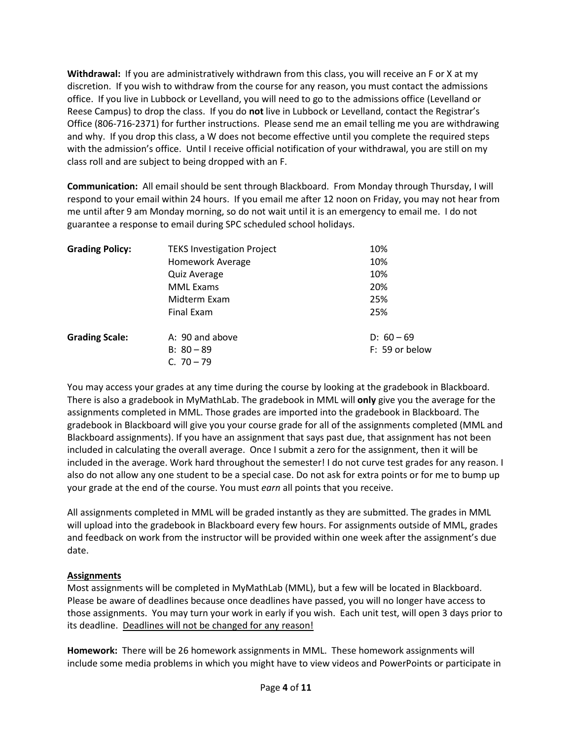**Withdrawal:** If you are administratively withdrawn from this class, you will receive an F or X at my discretion. If you wish to withdraw from the course for any reason, you must contact the admissions office. If you live in Lubbock or Levelland, you will need to go to the admissions office (Levelland or Reese Campus) to drop the class. If you do **not** live in Lubbock or Levelland, contact the Registrar's Office (806-716-2371) for further instructions. Please send me an email telling me you are withdrawing and why. If you drop this class, a W does not become effective until you complete the required steps with the admission's office. Until I receive official notification of your withdrawal, you are still on my class roll and are subject to being dropped with an F.

**Communication:** All email should be sent through Blackboard. From Monday through Thursday, I will respond to your email within 24 hours. If you email me after 12 noon on Friday, you may not hear from me until after 9 am Monday morning, so do not wait until it is an emergency to email me. I do not guarantee a response to email during SPC scheduled school holidays.

| <b>Grading Policy:</b> | <b>TEKS Investigation Project</b> | 10%            |
|------------------------|-----------------------------------|----------------|
|                        | <b>Homework Average</b>           | 10%            |
|                        | Quiz Average                      | 10%            |
|                        | <b>MML Exams</b>                  | 20%            |
|                        | Midterm Exam                      | 25%            |
|                        | Final Exam                        | 25%            |
| <b>Grading Scale:</b>  | A: 90 and above                   | $D: 60 - 69$   |
|                        | $B: 80 - 89$                      | F: 59 or below |
|                        | C. $70 - 79$                      |                |

You may access your grades at any time during the course by looking at the gradebook in Blackboard. There is also a gradebook in MyMathLab. The gradebook in MML will **only** give you the average for the assignments completed in MML. Those grades are imported into the gradebook in Blackboard. The gradebook in Blackboard will give you your course grade for all of the assignments completed (MML and Blackboard assignments). If you have an assignment that says past due, that assignment has not been included in calculating the overall average. Once I submit a zero for the assignment, then it will be included in the average. Work hard throughout the semester! I do not curve test grades for any reason. I also do not allow any one student to be a special case. Do not ask for extra points or for me to bump up your grade at the end of the course. You must *earn* all points that you receive.

All assignments completed in MML will be graded instantly as they are submitted. The grades in MML will upload into the gradebook in Blackboard every few hours. For assignments outside of MML, grades and feedback on work from the instructor will be provided within one week after the assignment's due date.

# **Assignments**

Most assignments will be completed in MyMathLab (MML), but a few will be located in Blackboard. Please be aware of deadlines because once deadlines have passed, you will no longer have access to those assignments. You may turn your work in early if you wish. Each unit test, will open 3 days prior to its deadline. Deadlines will not be changed for any reason!

**Homework:** There will be 26 homework assignments in MML. These homework assignments will include some media problems in which you might have to view videos and PowerPoints or participate in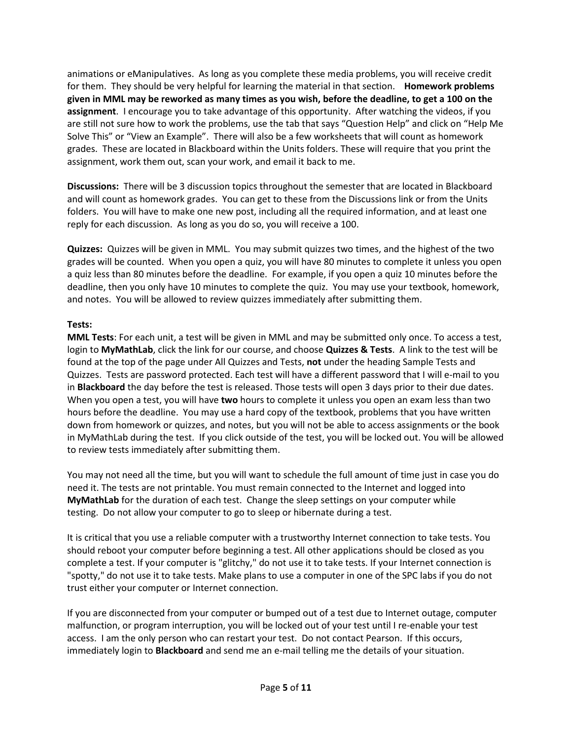animations or eManipulatives. As long as you complete these media problems, you will receive credit for them. They should be very helpful for learning the material in that section. **Homework problems given in MML may be reworked as many times as you wish, before the deadline, to get a 100 on the assignment**. I encourage you to take advantage of this opportunity. After watching the videos, if you are still not sure how to work the problems, use the tab that says "Question Help" and click on "Help Me Solve This" or "View an Example". There will also be a few worksheets that will count as homework grades. These are located in Blackboard within the Units folders. These will require that you print the assignment, work them out, scan your work, and email it back to me.

**Discussions:** There will be 3 discussion topics throughout the semester that are located in Blackboard and will count as homework grades. You can get to these from the Discussions link or from the Units folders. You will have to make one new post, including all the required information, and at least one reply for each discussion. As long as you do so, you will receive a 100.

**Quizzes:** Quizzes will be given in MML. You may submit quizzes two times, and the highest of the two grades will be counted. When you open a quiz, you will have 80 minutes to complete it unless you open a quiz less than 80 minutes before the deadline. For example, if you open a quiz 10 minutes before the deadline, then you only have 10 minutes to complete the quiz. You may use your textbook, homework, and notes. You will be allowed to review quizzes immediately after submitting them.

# **Tests:**

**MML Tests**: For each unit, a test will be given in MML and may be submitted only once. To access a test, login to **MyMathLab**, click the link for our course, and choose **Quizzes & Tests**. A link to the test will be found at the top of the page under All Quizzes and Tests, **not** under the heading Sample Tests and Quizzes. Tests are password protected. Each test will have a different password that I will e-mail to you in **Blackboard** the day before the test is released. Those tests will open 3 days prior to their due dates. When you open a test, you will have **two** hours to complete it unless you open an exam less than two hours before the deadline. You may use a hard copy of the textbook, problems that you have written down from homework or quizzes, and notes, but you will not be able to access assignments or the book in MyMathLab during the test. If you click outside of the test, you will be locked out. You will be allowed to review tests immediately after submitting them.

You may not need all the time, but you will want to schedule the full amount of time just in case you do need it. The tests are not printable. You must remain connected to the Internet and logged into **MyMathLab** for the duration of each test. Change the sleep settings on your computer while testing. Do not allow your computer to go to sleep or hibernate during a test.

It is critical that you use a reliable computer with a trustworthy Internet connection to take tests. You should reboot your computer before beginning a test. All other applications should be closed as you complete a test. If your computer is "glitchy," do not use it to take tests. If your Internet connection is "spotty," do not use it to take tests. Make plans to use a computer in one of the SPC labs if you do not trust either your computer or Internet connection.

If you are disconnected from your computer or bumped out of a test due to Internet outage, computer malfunction, or program interruption, you will be locked out of your test until I re-enable your test access. I am the only person who can restart your test. Do not contact Pearson. If this occurs, immediately login to **Blackboard** and send me an e-mail telling me the details of your situation.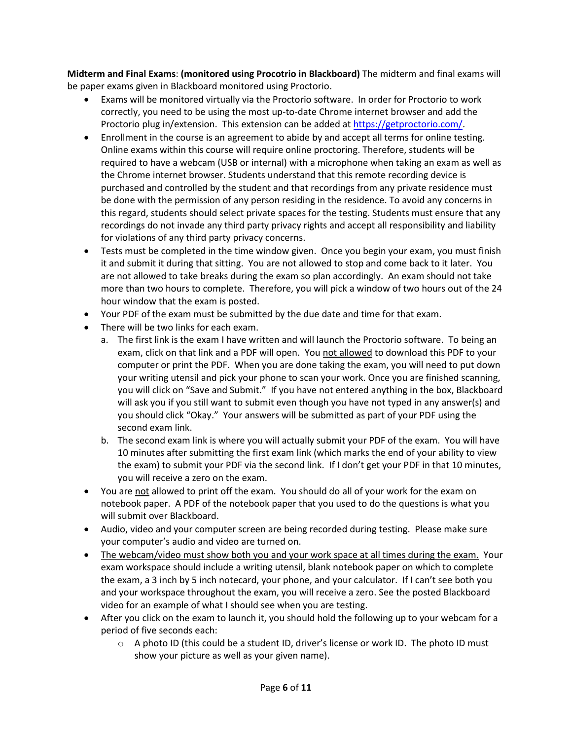**Midterm and Final Exams**: **(monitored using Procotrio in Blackboard)** The midterm and final exams will be paper exams given in Blackboard monitored using Proctorio.

- Exams will be monitored virtually via the Proctorio software. In order for Proctorio to work correctly, you need to be using the most up-to-date Chrome internet browser and add the Proctorio plug in/extension. This extension can be added at [https://getproctorio.com/.](https://getproctorio.com/)
- Enrollment in the course is an agreement to abide by and accept all terms for online testing. Online exams within this course will require online proctoring. Therefore, students will be required to have a webcam (USB or internal) with a microphone when taking an exam as well as the Chrome internet browser. Students understand that this remote recording device is purchased and controlled by the student and that recordings from any private residence must be done with the permission of any person residing in the residence. To avoid any concerns in this regard, students should select private spaces for the testing. Students must ensure that any recordings do not invade any third party privacy rights and accept all responsibility and liability for violations of any third party privacy concerns.
- Tests must be completed in the time window given. Once you begin your exam, you must finish it and submit it during that sitting. You are not allowed to stop and come back to it later. You are not allowed to take breaks during the exam so plan accordingly. An exam should not take more than two hours to complete. Therefore, you will pick a window of two hours out of the 24 hour window that the exam is posted.
- Your PDF of the exam must be submitted by the due date and time for that exam.
- There will be two links for each exam.
	- a. The first link is the exam I have written and will launch the Proctorio software. To being an exam, click on that link and a PDF will open. You not allowed to download this PDF to your computer or print the PDF. When you are done taking the exam, you will need to put down your writing utensil and pick your phone to scan your work. Once you are finished scanning, you will click on "Save and Submit." If you have not entered anything in the box, Blackboard will ask you if you still want to submit even though you have not typed in any answer(s) and you should click "Okay." Your answers will be submitted as part of your PDF using the second exam link.
	- b. The second exam link is where you will actually submit your PDF of the exam. You will have 10 minutes after submitting the first exam link (which marks the end of your ability to view the exam) to submit your PDF via the second link. If I don't get your PDF in that 10 minutes, you will receive a zero on the exam.
- You are not allowed to print off the exam. You should do all of your work for the exam on notebook paper. A PDF of the notebook paper that you used to do the questions is what you will submit over Blackboard.
- Audio, video and your computer screen are being recorded during testing. Please make sure your computer's audio and video are turned on.
- The webcam/video must show both you and your work space at all times during the exam. Your exam workspace should include a writing utensil, blank notebook paper on which to complete the exam, a 3 inch by 5 inch notecard, your phone, and your calculator. If I can't see both you and your workspace throughout the exam, you will receive a zero. See the posted Blackboard video for an example of what I should see when you are testing.
- After you click on the exam to launch it, you should hold the following up to your webcam for a period of five seconds each:
	- $\circ$  A photo ID (this could be a student ID, driver's license or work ID. The photo ID must show your picture as well as your given name).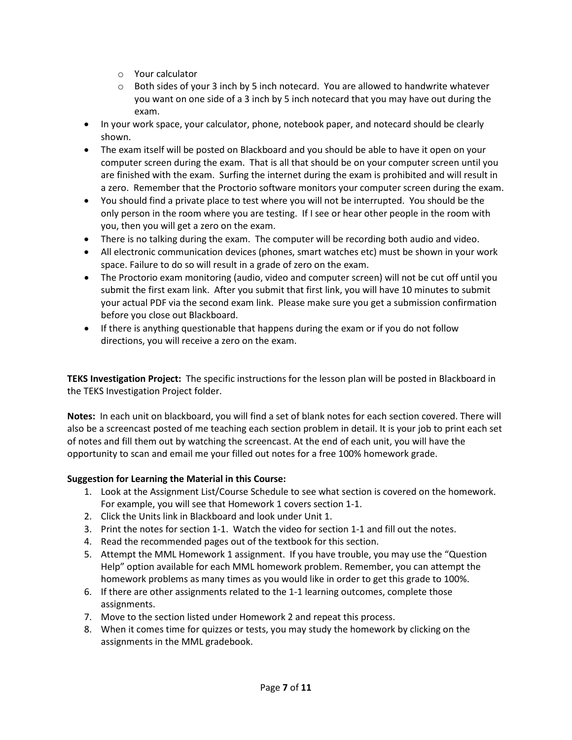- o Your calculator
- $\circ$  Both sides of your 3 inch by 5 inch notecard. You are allowed to handwrite whatever you want on one side of a 3 inch by 5 inch notecard that you may have out during the exam.
- In your work space, your calculator, phone, notebook paper, and notecard should be clearly shown.
- The exam itself will be posted on Blackboard and you should be able to have it open on your computer screen during the exam. That is all that should be on your computer screen until you are finished with the exam. Surfing the internet during the exam is prohibited and will result in a zero. Remember that the Proctorio software monitors your computer screen during the exam.
- You should find a private place to test where you will not be interrupted. You should be the only person in the room where you are testing. If I see or hear other people in the room with you, then you will get a zero on the exam.
- There is no talking during the exam. The computer will be recording both audio and video.
- All electronic communication devices (phones, smart watches etc) must be shown in your work space. Failure to do so will result in a grade of zero on the exam.
- The Proctorio exam monitoring (audio, video and computer screen) will not be cut off until you submit the first exam link. After you submit that first link, you will have 10 minutes to submit your actual PDF via the second exam link. Please make sure you get a submission confirmation before you close out Blackboard.
- If there is anything questionable that happens during the exam or if you do not follow directions, you will receive a zero on the exam.

**TEKS Investigation Project:** The specific instructions for the lesson plan will be posted in Blackboard in the TEKS Investigation Project folder.

**Notes:** In each unit on blackboard, you will find a set of blank notes for each section covered. There will also be a screencast posted of me teaching each section problem in detail. It is your job to print each set of notes and fill them out by watching the screencast. At the end of each unit, you will have the opportunity to scan and email me your filled out notes for a free 100% homework grade.

# **Suggestion for Learning the Material in this Course:**

- 1. Look at the Assignment List/Course Schedule to see what section is covered on the homework. For example, you will see that Homework 1 covers section 1-1.
- 2. Click the Units link in Blackboard and look under Unit 1.
- 3. Print the notes for section 1-1. Watch the video for section 1-1 and fill out the notes.
- 4. Read the recommended pages out of the textbook for this section.
- 5. Attempt the MML Homework 1 assignment. If you have trouble, you may use the "Question Help" option available for each MML homework problem. Remember, you can attempt the homework problems as many times as you would like in order to get this grade to 100%.
- 6. If there are other assignments related to the 1-1 learning outcomes, complete those assignments.
- 7. Move to the section listed under Homework 2 and repeat this process.
- 8. When it comes time for quizzes or tests, you may study the homework by clicking on the assignments in the MML gradebook.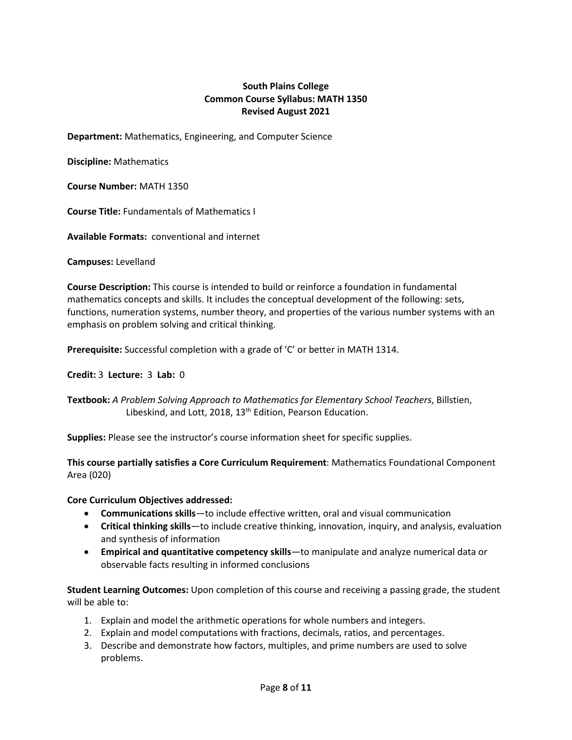# **South Plains College Common Course Syllabus: MATH 1350 Revised August 2021**

**Department:** Mathematics, Engineering, and Computer Science

**Discipline:** Mathematics

**Course Number:** MATH 1350

**Course Title:** Fundamentals of Mathematics I

**Available Formats:** conventional and internet

**Campuses:** Levelland

**Course Description:** This course is intended to build or reinforce a foundation in fundamental mathematics concepts and skills. It includes the conceptual development of the following: sets, functions, numeration systems, number theory, and properties of the various number systems with an emphasis on problem solving and critical thinking.

**Prerequisite:** Successful completion with a grade of 'C' or better in MATH 1314.

**Credit:** 3 **Lecture:** 3 **Lab:** 0

**Textbook:** *A Problem Solving Approach to Mathematics for Elementary School Teachers*, Billstien, Libeskind, and Lott, 2018, 13<sup>th</sup> Edition, Pearson Education.

**Supplies:** Please see the instructor's course information sheet for specific supplies.

**This course partially satisfies a Core Curriculum Requirement**: Mathematics Foundational Component Area (020)

#### **Core Curriculum Objectives addressed:**

- **Communications skills**—to include effective written, oral and visual communication
- **Critical thinking skills**—to include creative thinking, innovation, inquiry, and analysis, evaluation and synthesis of information
- **Empirical and quantitative competency skills**—to manipulate and analyze numerical data or observable facts resulting in informed conclusions

**Student Learning Outcomes:** Upon completion of this course and receiving a passing grade, the student will be able to:

- 1. Explain and model the arithmetic operations for whole numbers and integers.
- 2. Explain and model computations with fractions, decimals, ratios, and percentages.
- 3. Describe and demonstrate how factors, multiples, and prime numbers are used to solve problems.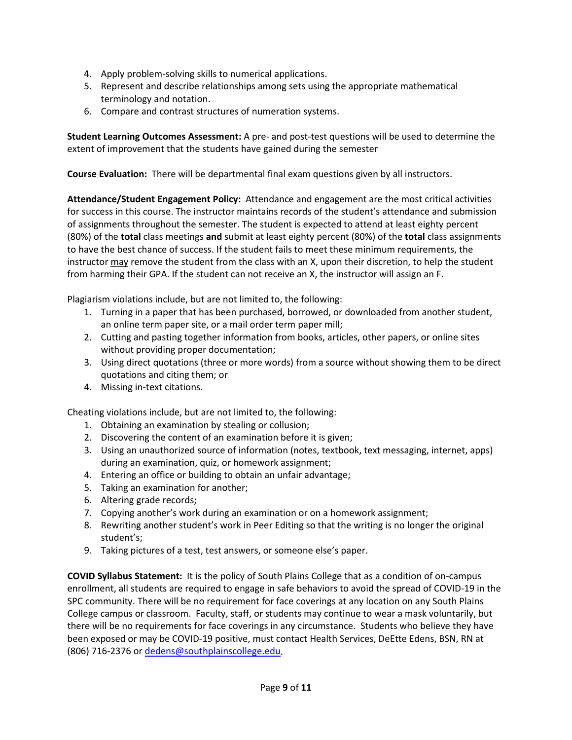- 4. Apply problem-solving skills to numerical applications.
- 5. Represent and describe relationships among sets using the appropriate mathematical terminology and notation.
- 6. Compare and contrast structures of numeration systems.

**Student Learning Outcomes Assessment:** A pre- and post-test questions will be used to determine the extent of improvement that the students have gained during the semester

**Course Evaluation:** There will be departmental final exam questions given by all instructors.

**Attendance/Student Engagement Policy:** Attendance and engagement are the most critical activities for success in this course. The instructor maintains records of the student's attendance and submission of assignments throughout the semester. The student is expected to attend at least eighty percent (80%) of the **total** class meetings **and** submit at least eighty percent (80%) of the **total** class assignments to have the best chance of success. If the student fails to meet these minimum requirements, the instructor may remove the student from the class with an X, upon their discretion, to help the student from harming their GPA. If the student can not receive an X, the instructor will assign an F.

Plagiarism violations include, but are not limited to, the following:

- 1. Turning in a paper that has been purchased, borrowed, or downloaded from another student, an online term paper site, or a mail order term paper mill;
- 2. Cutting and pasting together information from books, articles, other papers, or online sites without providing proper documentation;
- 3. Using direct quotations (three or more words) from a source without showing them to be direct quotations and citing them; or
- 4. Missing in-text citations.

Cheating violations include, but are not limited to, the following:

- 1. Obtaining an examination by stealing or collusion;
- 2. Discovering the content of an examination before it is given;
- 3. Using an unauthorized source of information (notes, textbook, text messaging, internet, apps) during an examination, quiz, or homework assignment;
- 4. Entering an office or building to obtain an unfair advantage;
- 5. Taking an examination for another;
- 6. Altering grade records;
- 7. Copying another's work during an examination or on a homework assignment;
- 8. Rewriting another student's work in Peer Editing so that the writing is no longer the original student's;
- 9. Taking pictures of a test, test answers, or someone else's paper.

**COVID Syllabus Statement:** It is the policy of South Plains College that as a condition of on-campus enrollment, all students are required to engage in safe behaviors to avoid the spread of COVID-19 in the SPC community. There will be no requirement for face coverings at any location on any South Plains College campus or classroom. Faculty, staff, or students may continue to wear a mask voluntarily, but there will be no requirements for face coverings in any circumstance. Students who believe they have been exposed or may be COVID-19 positive, must contact Health Services, DeEtte Edens, BSN, RN at (806) 716-2376 or [dedens@southplainscollege.edu.](mailto:dedens@southplainscollege.edu)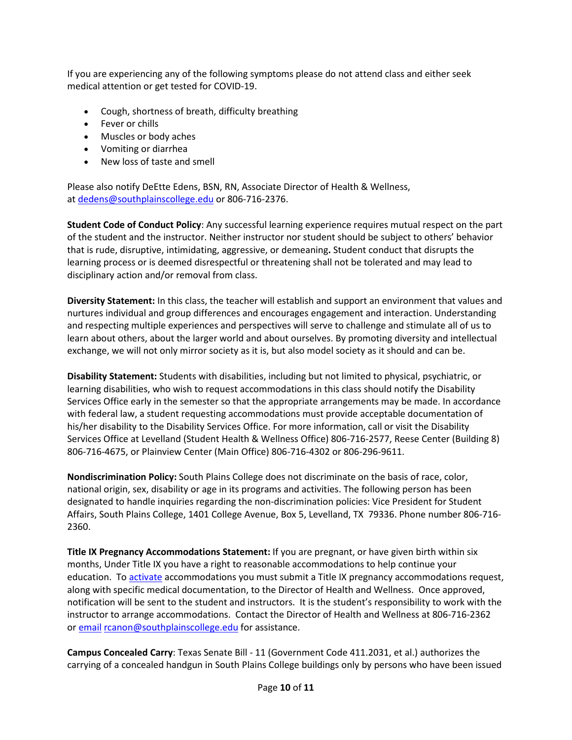If you are experiencing any of the following symptoms please do not attend class and either seek medical attention or get tested for COVID-19.

- Cough, shortness of breath, difficulty breathing
- Fever or chills
- Muscles or body aches
- Vomiting or diarrhea
- New loss of taste and smell

Please also notify DeEtte Edens, BSN, RN, Associate Director of Health & Wellness, at [dedens@southplainscollege.edu](mailto:dedens@southplainscollege.edu) or 806-716-2376.

**Student Code of Conduct Policy**: Any successful learning experience requires mutual respect on the part of the student and the instructor. Neither instructor nor student should be subject to others' behavior that is rude, disruptive, intimidating, aggressive, or demeaning**.** Student conduct that disrupts the learning process or is deemed disrespectful or threatening shall not be tolerated and may lead to disciplinary action and/or removal from class.

**Diversity Statement:** In this class, the teacher will establish and support an environment that values and nurtures individual and group differences and encourages engagement and interaction. Understanding and respecting multiple experiences and perspectives will serve to challenge and stimulate all of us to learn about others, about the larger world and about ourselves. By promoting diversity and intellectual exchange, we will not only mirror society as it is, but also model society as it should and can be.

**Disability Statement:** Students with disabilities, including but not limited to physical, psychiatric, or learning disabilities, who wish to request accommodations in this class should notify the Disability Services Office early in the semester so that the appropriate arrangements may be made. In accordance with federal law, a student requesting accommodations must provide acceptable documentation of his/her disability to the Disability Services Office. For more information, call or visit the Disability Services Office at Levelland (Student Health & Wellness Office) 806-716-2577, Reese Center (Building 8) 806-716-4675, or Plainview Center (Main Office) 806-716-4302 or 806-296-9611.

**Nondiscrimination Policy:** South Plains College does not discriminate on the basis of race, color, national origin, sex, disability or age in its programs and activities. The following person has been designated to handle inquiries regarding the non-discrimination policies: Vice President for Student Affairs, South Plains College, 1401 College Avenue, Box 5, Levelland, TX 79336. Phone number 806-716- 2360.

**Title IX Pregnancy Accommodations Statement:** If you are pregnant, or have given birth within six months, Under Title IX you have a right to reasonable accommodations to help continue your education. To [activate](http://www.southplainscollege.edu/employees/manualshandbooks/facultyhandbook/sec4.php) accommodations you must submit a Title IX pregnancy accommodations request, along with specific medical documentation, to the Director of Health and Wellness. Once approved, notification will be sent to the student and instructors. It is the student's responsibility to work with the instructor to arrange accommodations. Contact the Director of Health and Wellness at 806-716-2362 or [email](http://www.southplainscollege.edu/employees/manualshandbooks/facultyhandbook/sec4.php) [rcanon@southplainscollege.edu](mailto:rcanon@southplainscollege.edu) for assistance.

**Campus Concealed Carry**: Texas Senate Bill - 11 (Government Code 411.2031, et al.) authorizes the carrying of a concealed handgun in South Plains College buildings only by persons who have been issued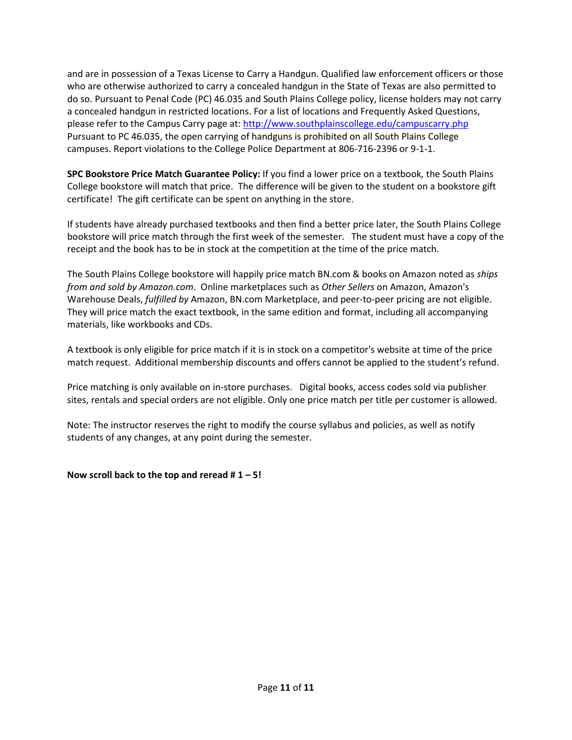and are in possession of a Texas License to Carry a Handgun. Qualified law enforcement officers or those who are otherwise authorized to carry a concealed handgun in the State of Texas are also permitted to do so. Pursuant to Penal Code (PC) 46.035 and South Plains College policy, license holders may not carry a concealed handgun in restricted locations. For a list of locations and Frequently Asked Questions, please refer to the Campus Carry page at: <http://www.southplainscollege.edu/campuscarry.php> Pursuant to PC 46.035, the open carrying of handguns is prohibited on all South Plains College campuses. Report violations to the College Police Department at 806-716-2396 or 9-1-1.

**SPC Bookstore Price Match Guarantee Policy:** If you find a lower price on a textbook, the South Plains College bookstore will match that price. The difference will be given to the student on a bookstore gift certificate! The gift certificate can be spent on anything in the store.

If students have already purchased textbooks and then find a better price later, the South Plains College bookstore will price match through the first week of the semester. The student must have a copy of the receipt and the book has to be in stock at the competition at the time of the price match.

The South Plains College bookstore will happily price match BN.com & books on Amazon noted as *ships from and sold by Amazon.com*. Online marketplaces such as *Other Sellers* on Amazon, Amazon's Warehouse Deals, *fulfilled by* Amazon, BN.com Marketplace, and peer-to-peer pricing are not eligible. They will price match the exact textbook, in the same edition and format, including all accompanying materials, like workbooks and CDs.

A textbook is only eligible for price match if it is in stock on a competitor's website at time of the price match request. Additional membership discounts and offers cannot be applied to the student's refund.

Price matching is only available on in-store purchases. Digital books, access codes sold via publisher sites, rentals and special orders are not eligible. Only one price match per title per customer is allowed.

Note: The instructor reserves the right to modify the course syllabus and policies, as well as notify students of any changes, at any point during the semester.

# **Now scroll back to the top and reread # 1 – 5!**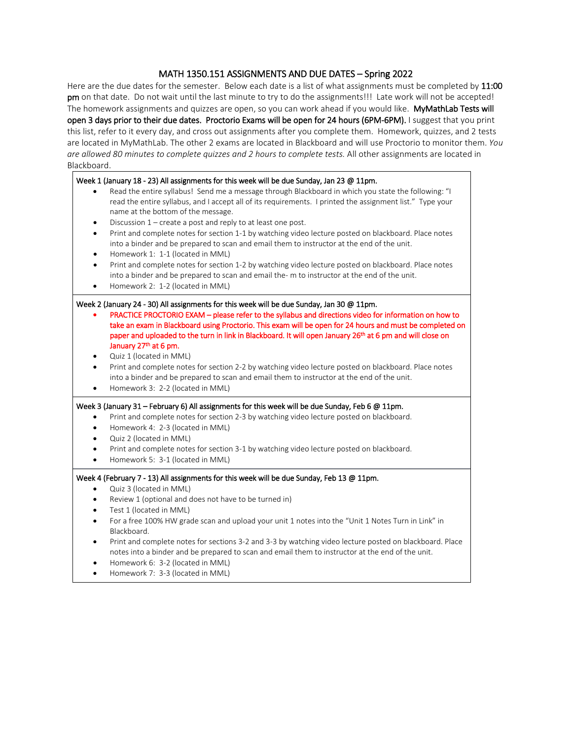#### MATH 1350.151 ASSIGNMENTS AND DUE DATES – Spring 2022

Here are the due dates for the semester. Below each date is a list of what assignments must be completed by 11:00 pm on that date. Do not wait until the last minute to try to do the assignments!!! Late work will not be accepted! The homework assignments and quizzes are open, so you can work ahead if you would like. MyMathLab Tests will open 3 days prior to their due dates. Proctorio Exams will be open for 24 hours (6PM-6PM). I suggest that you print this list, refer to it every day, and cross out assignments after you complete them. Homework, quizzes, and 2 tests are located in MyMathLab. The other 2 exams are located in Blackboard and will use Proctorio to monitor them. *You are allowed 80 minutes to complete quizzes and 2 hours to complete tests.* All other assignments are located in Blackboard.

#### Week 1 (January 18 - 23) All assignments for this week will be due Sunday, Jan 23 @ 11pm.

- Read the entire syllabus! Send me a message through Blackboard in which you state the following: "I read the entire syllabus, and I accept all of its requirements. I printed the assignment list." Type your name at the bottom of the message.
- Discussion  $1$  create a post and reply to at least one post.
- Print and complete notes for section 1-1 by watching video lecture posted on blackboard. Place notes into a binder and be prepared to scan and email them to instructor at the end of the unit.
- Homework 1: 1-1 (located in MML)
- Print and complete notes for section 1-2 by watching video lecture posted on blackboard. Place notes into a binder and be prepared to scan and email the- m to instructor at the end of the unit.
- Homework 2: 1-2 (located in MML)

#### Week 2 (January 24 - 30) All assignments for this week will be due Sunday, Jan 30 @ 11pm.

- PRACTICE PROCTORIO EXAM please refer to the syllabus and directions video for information on how to take an exam in Blackboard using Proctorio. This exam will be open for 24 hours and must be completed on paper and uploaded to the turn in link in Blackboard. It will open January 26<sup>th</sup> at 6 pm and will close on January 27<sup>th</sup> at 6 pm.
- Quiz 1 (located in MML)
- Print and complete notes for section 2-2 by watching video lecture posted on blackboard. Place notes into a binder and be prepared to scan and email them to instructor at the end of the unit.
- Homework 3: 2-2 (located in MML)

#### Week 3 (January 31 – February 6) All assignments for this week will be due Sunday, Feb 6 @ 11pm.

- Print and complete notes for section 2-3 by watching video lecture posted on blackboard.
- Homework 4: 2-3 (located in MML)
- Quiz 2 (located in MML)
- Print and complete notes for section 3-1 by watching video lecture posted on blackboard.
- Homework 5: 3-1 (located in MML)

#### Week 4 (February 7 - 13) All assignments for this week will be due Sunday, Feb 13 @ 11pm.

- Quiz 3 (located in MML)
- Review 1 (optional and does not have to be turned in)
- Test 1 (located in MML)
- For a free 100% HW grade scan and upload your unit 1 notes into the "Unit 1 Notes Turn in Link" in Blackboard.
- Print and complete notes for sections 3-2 and 3-3 by watching video lecture posted on blackboard. Place notes into a binder and be prepared to scan and email them to instructor at the end of the unit.
- Homework 6: 3-2 (located in MML)
- Homework 7: 3-3 (located in MML)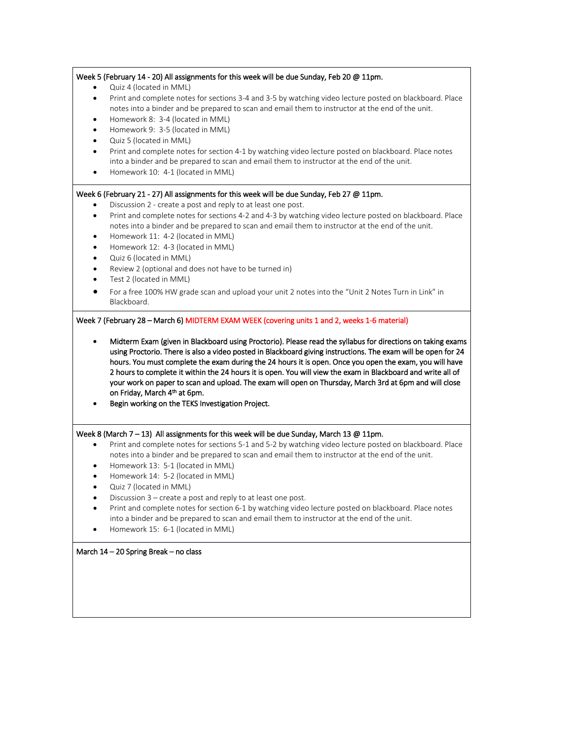|                                                                            | Week 5 (February 14 - 20) All assignments for this week will be due Sunday, Feb 20 @ 11pm.                                                                                                                                                                                                                                                                                                                                                                                                                                                                                                                                                                         |
|----------------------------------------------------------------------------|--------------------------------------------------------------------------------------------------------------------------------------------------------------------------------------------------------------------------------------------------------------------------------------------------------------------------------------------------------------------------------------------------------------------------------------------------------------------------------------------------------------------------------------------------------------------------------------------------------------------------------------------------------------------|
| $\bullet$<br>$\bullet$<br>$\bullet$<br>$\bullet$<br>$\bullet$<br>$\bullet$ | Quiz 4 (located in MML)<br>Print and complete notes for sections 3-4 and 3-5 by watching video lecture posted on blackboard. Place<br>notes into a binder and be prepared to scan and email them to instructor at the end of the unit.<br>Homework 8: 3-4 (located in MML)<br>Homework 9: 3-5 (located in MML)<br>Quiz 5 (located in MML)<br>Print and complete notes for section 4-1 by watching video lecture posted on blackboard. Place notes                                                                                                                                                                                                                  |
| $\bullet$                                                                  | into a binder and be prepared to scan and email them to instructor at the end of the unit.<br>Homework 10: 4-1 (located in MML)                                                                                                                                                                                                                                                                                                                                                                                                                                                                                                                                    |
| $\bullet$                                                                  | Week 6 (February 21 - 27) All assignments for this week will be due Sunday, Feb 27 @ 11pm.<br>Discussion 2 - create a post and reply to at least one post.                                                                                                                                                                                                                                                                                                                                                                                                                                                                                                         |
| $\bullet$<br>$\bullet$<br>$\bullet$                                        | Print and complete notes for sections 4-2 and 4-3 by watching video lecture posted on blackboard. Place<br>notes into a binder and be prepared to scan and email them to instructor at the end of the unit.<br>Homework 11: 4-2 (located in MML)<br>Homework 12: 4-3 (located in MML)                                                                                                                                                                                                                                                                                                                                                                              |
| $\bullet$<br>$\bullet$<br>$\bullet$                                        | Quiz 6 (located in MML)<br>Review 2 (optional and does not have to be turned in)<br>Test 2 (located in MML)                                                                                                                                                                                                                                                                                                                                                                                                                                                                                                                                                        |
|                                                                            | For a free 100% HW grade scan and upload your unit 2 notes into the "Unit 2 Notes Turn in Link" in<br>Blackboard.                                                                                                                                                                                                                                                                                                                                                                                                                                                                                                                                                  |
|                                                                            | Week 7 (February 28 - March 6) MIDTERM EXAM WEEK (covering units 1 and 2, weeks 1-6 material)<br>Midterm Exam (given in Blackboard using Proctorio). Please read the syllabus for directions on taking exams<br>using Proctorio. There is also a video posted in Blackboard giving instructions. The exam will be open for 24                                                                                                                                                                                                                                                                                                                                      |
|                                                                            | 2 hours to complete it within the 24 hours it is open. You will view the exam in Blackboard and write all of<br>on Friday, March 4th at 6pm.<br>Begin working on the TEKS Investigation Project.                                                                                                                                                                                                                                                                                                                                                                                                                                                                   |
|                                                                            | Week 8 (March 7-13) All assignments for this week will be due Sunday, March 13 @ 11pm.                                                                                                                                                                                                                                                                                                                                                                                                                                                                                                                                                                             |
| $\bullet$<br>$\bullet$                                                     | notes into a binder and be prepared to scan and email them to instructor at the end of the unit.<br>Homework 13: 5-1 (located in MML)<br>Homework 14: 5-2 (located in MML)                                                                                                                                                                                                                                                                                                                                                                                                                                                                                         |
| ٠<br>$\bullet$<br>$\bullet$                                                | hours. You must complete the exam during the 24 hours it is open. Once you open the exam, you will have<br>your work on paper to scan and upload. The exam will open on Thursday, March 3rd at 6pm and will close<br>Print and complete notes for sections 5-1 and 5-2 by watching video lecture posted on blackboard. Place<br>Quiz 7 (located in MML)<br>Discussion 3 – create a post and reply to at least one post.<br>Print and complete notes for section 6-1 by watching video lecture posted on blackboard. Place notes<br>into a binder and be prepared to scan and email them to instructor at the end of the unit.<br>Homework 15: 6-1 (located in MML) |
|                                                                            | March 14 - 20 Spring Break - no class                                                                                                                                                                                                                                                                                                                                                                                                                                                                                                                                                                                                                              |
|                                                                            |                                                                                                                                                                                                                                                                                                                                                                                                                                                                                                                                                                                                                                                                    |
|                                                                            |                                                                                                                                                                                                                                                                                                                                                                                                                                                                                                                                                                                                                                                                    |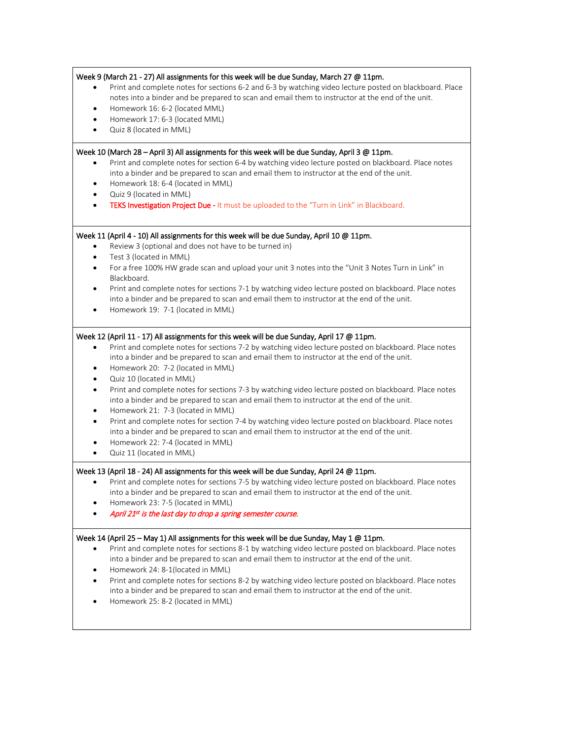| ٠<br>$\bullet$<br>$\bullet$                                                     | Week 9 (March 21 - 27) All assignments for this week will be due Sunday, March 27 $@$ 11pm.<br>Print and complete notes for sections 6-2 and 6-3 by watching video lecture posted on blackboard. Place<br>notes into a binder and be prepared to scan and email them to instructor at the end of the unit.<br>Homework 16: 6-2 (located MML)<br>Homework 17: 6-3 (located MML)<br>Quiz 8 (located in MML)                                                                                                                                                                                                                                                                                                                                                                                                                                                                             |
|---------------------------------------------------------------------------------|---------------------------------------------------------------------------------------------------------------------------------------------------------------------------------------------------------------------------------------------------------------------------------------------------------------------------------------------------------------------------------------------------------------------------------------------------------------------------------------------------------------------------------------------------------------------------------------------------------------------------------------------------------------------------------------------------------------------------------------------------------------------------------------------------------------------------------------------------------------------------------------|
| $\bullet$<br>$\bullet$<br>$\bullet$                                             | Week 10 (March 28 - April 3) All assignments for this week will be due Sunday, April 3 @ 11pm.<br>Print and complete notes for section 6-4 by watching video lecture posted on blackboard. Place notes<br>into a binder and be prepared to scan and email them to instructor at the end of the unit.<br>Homework 18: 6-4 (located in MML)<br>Quiz 9 (located in MML)<br>TEKS Investigation Project Due - It must be uploaded to the "Turn in Link" in Blackboard.                                                                                                                                                                                                                                                                                                                                                                                                                     |
| $\bullet$<br>$\bullet$<br>$\bullet$<br>$\bullet$                                | Week 11 (April 4 - 10) All assignments for this week will be due Sunday, April 10 @ 11pm.<br>Review 3 (optional and does not have to be turned in)<br>Test 3 (located in MML)<br>For a free 100% HW grade scan and upload your unit 3 notes into the "Unit 3 Notes Turn in Link" in<br>Blackboard.<br>Print and complete notes for sections 7-1 by watching video lecture posted on blackboard. Place notes<br>into a binder and be prepared to scan and email them to instructor at the end of the unit.<br>Homework 19: 7-1 (located in MML)                                                                                                                                                                                                                                                                                                                                        |
| $\bullet$<br>$\bullet$<br>$\bullet$<br>$\bullet$<br>$\bullet$<br>٠<br>$\bullet$ | Week 12 (April 11 - 17) All assignments for this week will be due Sunday, April 17 @ 11pm.<br>Print and complete notes for sections 7-2 by watching video lecture posted on blackboard. Place notes<br>into a binder and be prepared to scan and email them to instructor at the end of the unit.<br>Homework 20: 7-2 (located in MML)<br>Quiz 10 (located in MML)<br>Print and complete notes for sections 7-3 by watching video lecture posted on blackboard. Place notes<br>into a binder and be prepared to scan and email them to instructor at the end of the unit.<br>Homework 21: 7-3 (located in MML)<br>Print and complete notes for section 7-4 by watching video lecture posted on blackboard. Place notes<br>into a binder and be prepared to scan and email them to instructor at the end of the unit.<br>Homework 22: 7-4 (located in MML)<br>Quiz 11 (located in MML) |
|                                                                                 | Week 13 (April 18 - 24) All assignments for this week will be due Sunday, April 24 @ 11pm.<br>Print and complete notes for sections 7-5 by watching video lecture posted on blackboard. Place notes<br>into a binder and be prepared to scan and email them to instructor at the end of the unit.<br>Homework 23: 7-5 (located in MML)<br>April 21st is the last day to drop a spring semester course.                                                                                                                                                                                                                                                                                                                                                                                                                                                                                |
| ٠<br>$\bullet$<br>$\bullet$                                                     | Week 14 (April 25 – May 1) All assignments for this week will be due Sunday, May 1 @ 11pm.<br>Print and complete notes for sections 8-1 by watching video lecture posted on blackboard. Place notes<br>into a binder and be prepared to scan and email them to instructor at the end of the unit.<br>Homework 24: 8-1(located in MML)<br>Print and complete notes for sections 8-2 by watching video lecture posted on blackboard. Place notes<br>into a binder and be prepared to scan and email them to instructor at the end of the unit.<br>Homework 25: 8-2 (located in MML)                                                                                                                                                                                                                                                                                                     |